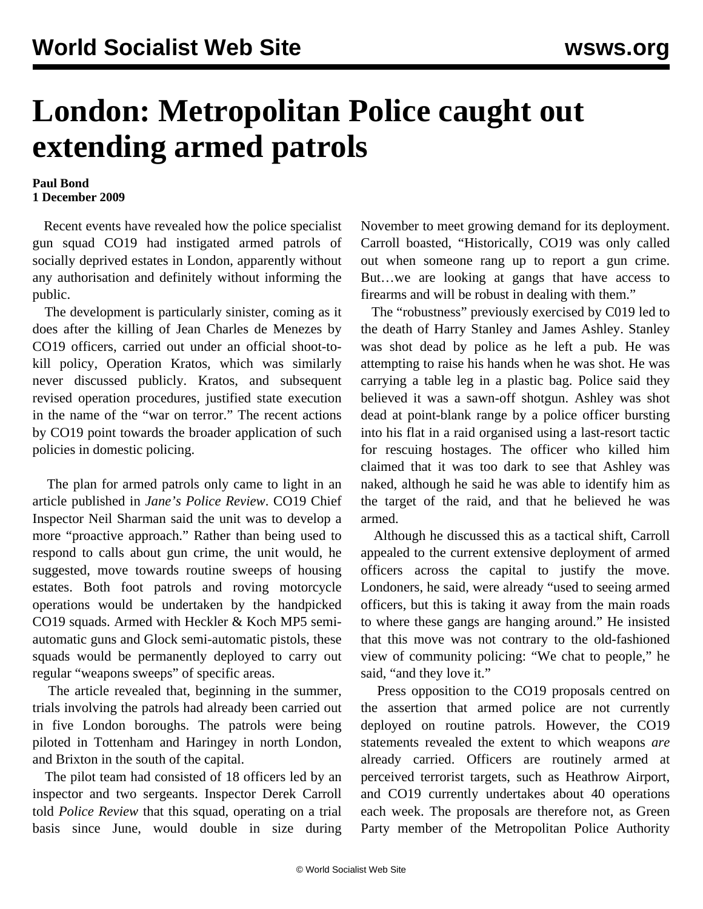## **London: Metropolitan Police caught out extending armed patrols**

## **Paul Bond 1 December 2009**

 Recent events have revealed how the police specialist gun squad CO19 had instigated armed patrols of socially deprived estates in London, apparently without any authorisation and definitely without informing the public.

 The development is particularly sinister, coming as it does after the killing of Jean Charles de Menezes by CO19 officers, carried out under an official shoot-tokill policy, Operation Kratos, which was similarly never discussed publicly. Kratos, and subsequent revised operation procedures, justified state execution in the name of the "war on terror." The recent actions by CO19 point towards the broader application of such policies in domestic policing.

 The plan for armed patrols only came to light in an article published in *Jane's Police Review*. CO19 Chief Inspector Neil Sharman said the unit was to develop a more "proactive approach." Rather than being used to respond to calls about gun crime, the unit would, he suggested, move towards routine sweeps of housing estates. Both foot patrols and roving motorcycle operations would be undertaken by the handpicked CO19 squads. Armed with Heckler & Koch MP5 semiautomatic guns and Glock semi-automatic pistols, these squads would be permanently deployed to carry out regular "weapons sweeps" of specific areas.

 The article revealed that, beginning in the summer, trials involving the patrols had already been carried out in five London boroughs. The patrols were being piloted in Tottenham and Haringey in north London, and Brixton in the south of the capital.

 The pilot team had consisted of 18 officers led by an inspector and two sergeants. Inspector Derek Carroll told *Police Review* that this squad, operating on a trial basis since June, would double in size during November to meet growing demand for its deployment. Carroll boasted, "Historically, CO19 was only called out when someone rang up to report a gun crime. But…we are looking at gangs that have access to firearms and will be robust in dealing with them."

 The "robustness" previously exercised by C019 led to the death of Harry Stanley and James Ashley. Stanley was shot dead by police as he left a pub. He was attempting to raise his hands when he was shot. He was carrying a table leg in a plastic bag. Police said they believed it was a sawn-off shotgun. Ashley was shot dead at point-blank range by a police officer bursting into his flat in a raid organised using a last-resort tactic for rescuing hostages. The officer who killed him claimed that it was too dark to see that Ashley was naked, although he said he was able to identify him as the target of the raid, and that he believed he was armed.

 Although he discussed this as a tactical shift, Carroll appealed to the current extensive deployment of armed officers across the capital to justify the move. Londoners, he said, were already "used to seeing armed officers, but this is taking it away from the main roads to where these gangs are hanging around." He insisted that this move was not contrary to the old-fashioned view of community policing: "We chat to people," he said, "and they love it."

 Press opposition to the CO19 proposals centred on the assertion that armed police are not currently deployed on routine patrols. However, the CO19 statements revealed the extent to which weapons *are* already carried. Officers are routinely armed at perceived terrorist targets, such as Heathrow Airport, and CO19 currently undertakes about 40 operations each week. The proposals are therefore not, as Green Party member of the Metropolitan Police Authority